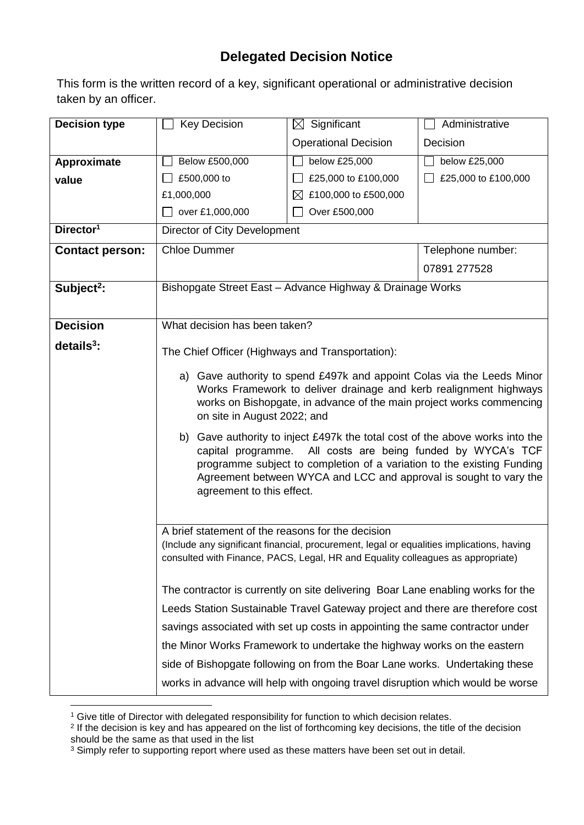## **Delegated Decision Notice**

This form is the written record of a key, significant operational or administrative decision taken by an officer.

| <b>Decision type</b>   | <b>Key Decision</b>                                                                                                                       | $\boxtimes$ Significant                                                         | Administrative      |  |  |
|------------------------|-------------------------------------------------------------------------------------------------------------------------------------------|---------------------------------------------------------------------------------|---------------------|--|--|
|                        |                                                                                                                                           | <b>Operational Decision</b>                                                     | Decision            |  |  |
| Approximate            | Below £500,000                                                                                                                            | below £25,000                                                                   | below £25,000       |  |  |
| value                  | £500,000 to                                                                                                                               | £25,000 to £100,000                                                             | £25,000 to £100,000 |  |  |
|                        | £1,000,000                                                                                                                                | $\boxtimes$ £100,000 to £500,000                                                |                     |  |  |
|                        | over £1,000,000                                                                                                                           | Over £500,000                                                                   |                     |  |  |
| Director <sup>1</sup>  | Director of City Development                                                                                                              |                                                                                 |                     |  |  |
| <b>Contact person:</b> | <b>Chloe Dummer</b>                                                                                                                       |                                                                                 | Telephone number:   |  |  |
|                        |                                                                                                                                           |                                                                                 | 07891 277528        |  |  |
| Subject <sup>2</sup> : | Bishopgate Street East - Advance Highway & Drainage Works                                                                                 |                                                                                 |                     |  |  |
|                        |                                                                                                                                           |                                                                                 |                     |  |  |
| <b>Decision</b>        | What decision has been taken?                                                                                                             |                                                                                 |                     |  |  |
| $details3$ :           | The Chief Officer (Highways and Transportation):                                                                                          |                                                                                 |                     |  |  |
|                        |                                                                                                                                           |                                                                                 |                     |  |  |
|                        | a) Gave authority to spend £497k and appoint Colas via the Leeds Minor                                                                    |                                                                                 |                     |  |  |
|                        | Works Framework to deliver drainage and kerb realignment highways<br>works on Bishopgate, in advance of the main project works commencing |                                                                                 |                     |  |  |
|                        | on site in August 2022; and                                                                                                               |                                                                                 |                     |  |  |
|                        | b) Gave authority to inject £497k the total cost of the above works into the                                                              |                                                                                 |                     |  |  |
|                        | All costs are being funded by WYCA's TCF<br>capital programme.                                                                            |                                                                                 |                     |  |  |
|                        | programme subject to completion of a variation to the existing Funding                                                                    |                                                                                 |                     |  |  |
|                        | Agreement between WYCA and LCC and approval is sought to vary the<br>agreement to this effect.                                            |                                                                                 |                     |  |  |
|                        |                                                                                                                                           |                                                                                 |                     |  |  |
|                        | A brief statement of the reasons for the decision                                                                                         |                                                                                 |                     |  |  |
|                        | (Include any significant financial, procurement, legal or equalities implications, having                                                 |                                                                                 |                     |  |  |
|                        |                                                                                                                                           | consulted with Finance, PACS, Legal, HR and Equality colleagues as appropriate) |                     |  |  |
|                        | The contractor is currently on site delivering Boar Lane enabling works for the                                                           |                                                                                 |                     |  |  |
|                        | Leeds Station Sustainable Travel Gateway project and there are therefore cost                                                             |                                                                                 |                     |  |  |
|                        | savings associated with set up costs in appointing the same contractor under                                                              |                                                                                 |                     |  |  |
|                        |                                                                                                                                           |                                                                                 |                     |  |  |
|                        | the Minor Works Framework to undertake the highway works on the eastern                                                                   |                                                                                 |                     |  |  |
|                        | side of Bishopgate following on from the Boar Lane works. Undertaking these                                                               |                                                                                 |                     |  |  |
|                        | works in advance will help with ongoing travel disruption which would be worse                                                            |                                                                                 |                     |  |  |

<sup>1</sup> <sup>1</sup> Give title of Director with delegated responsibility for function to which decision relates.

<sup>&</sup>lt;sup>2</sup> If the decision is key and has appeared on the list of forthcoming key decisions, the title of the decision should be the same as that used in the list

 $3$  Simply refer to supporting report where used as these matters have been set out in detail.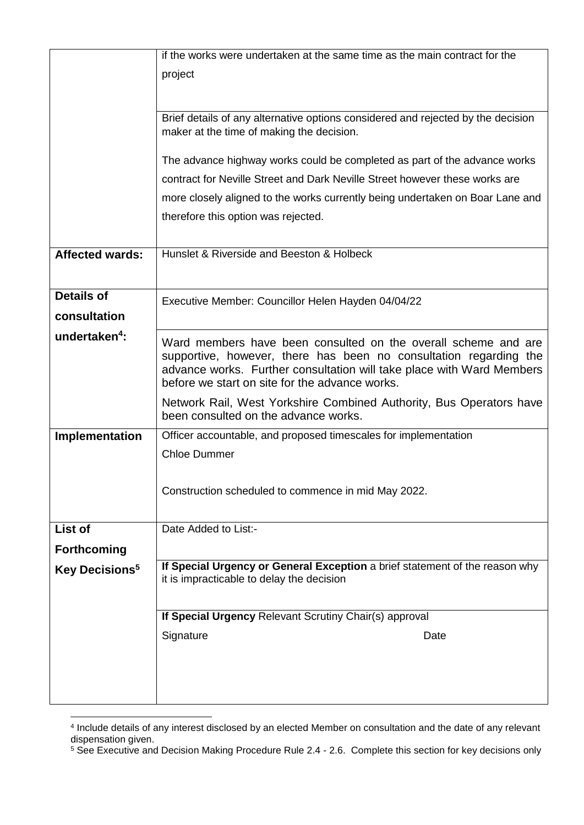|                            | if the works were undertaken at the same time as the main contract for the                                               |  |  |  |  |
|----------------------------|--------------------------------------------------------------------------------------------------------------------------|--|--|--|--|
|                            | project                                                                                                                  |  |  |  |  |
|                            |                                                                                                                          |  |  |  |  |
|                            | Brief details of any alternative options considered and rejected by the decision                                         |  |  |  |  |
|                            | maker at the time of making the decision.                                                                                |  |  |  |  |
|                            |                                                                                                                          |  |  |  |  |
|                            | The advance highway works could be completed as part of the advance works                                                |  |  |  |  |
|                            | contract for Neville Street and Dark Neville Street however these works are                                              |  |  |  |  |
|                            | more closely aligned to the works currently being undertaken on Boar Lane and                                            |  |  |  |  |
|                            | therefore this option was rejected.                                                                                      |  |  |  |  |
| <b>Affected wards:</b>     | Hunslet & Riverside and Beeston & Holbeck                                                                                |  |  |  |  |
|                            |                                                                                                                          |  |  |  |  |
|                            |                                                                                                                          |  |  |  |  |
| <b>Details of</b>          | Executive Member: Councillor Helen Hayden 04/04/22                                                                       |  |  |  |  |
| consultation               |                                                                                                                          |  |  |  |  |
| undertaken <sup>4</sup> :  | Ward members have been consulted on the overall scheme and are                                                           |  |  |  |  |
|                            | supportive, however, there has been no consultation regarding the                                                        |  |  |  |  |
|                            | advance works. Further consultation will take place with Ward Members<br>before we start on site for the advance works.  |  |  |  |  |
|                            | Network Rail, West Yorkshire Combined Authority, Bus Operators have                                                      |  |  |  |  |
|                            | been consulted on the advance works.                                                                                     |  |  |  |  |
| Implementation             | Officer accountable, and proposed timescales for implementation                                                          |  |  |  |  |
|                            | <b>Chloe Dummer</b>                                                                                                      |  |  |  |  |
|                            |                                                                                                                          |  |  |  |  |
|                            | Construction scheduled to commence in mid May 2022.                                                                      |  |  |  |  |
|                            |                                                                                                                          |  |  |  |  |
| List of                    | Date Added to List:-                                                                                                     |  |  |  |  |
| <b>Forthcoming</b>         |                                                                                                                          |  |  |  |  |
| Key Decisions <sup>5</sup> | If Special Urgency or General Exception a brief statement of the reason why<br>it is impracticable to delay the decision |  |  |  |  |
|                            |                                                                                                                          |  |  |  |  |
|                            | If Special Urgency Relevant Scrutiny Chair(s) approval                                                                   |  |  |  |  |
|                            | Signature<br>Date                                                                                                        |  |  |  |  |
|                            |                                                                                                                          |  |  |  |  |
|                            |                                                                                                                          |  |  |  |  |
|                            |                                                                                                                          |  |  |  |  |
|                            |                                                                                                                          |  |  |  |  |

 4 Include details of any interest disclosed by an elected Member on consultation and the date of any relevant dispensation given.

<sup>&</sup>lt;sup>5</sup> See Executive and Decision Making Procedure Rule 2.4 - 2.6. Complete this section for key decisions only